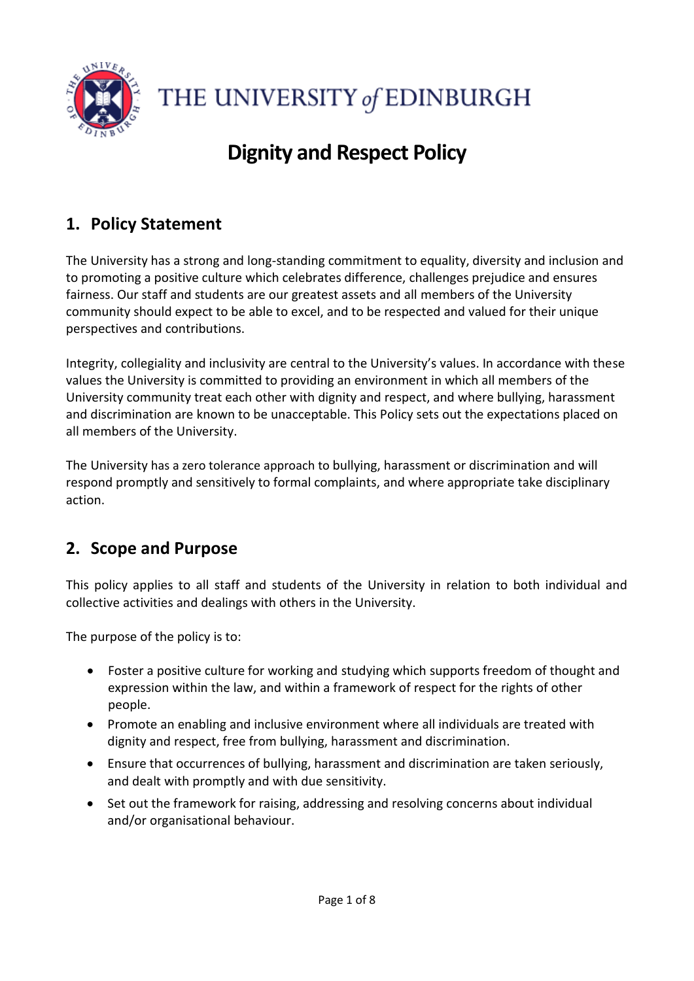

THE UNIVERSITY of EDINBURGH

# **Dignity and Respect Policy**

# **1. Policy Statement**

The University has a strong and long-standing commitment to equality, diversity and inclusion and to promoting a positive culture which celebrates difference, challenges prejudice and ensures fairness. Our staff and students are our greatest assets and all members of the University community should expect to be able to excel, and to be respected and valued for their unique perspectives and contributions.

Integrity, collegiality and inclusivity are central to the University's values. In accordance with these values the University is committed to providing an environment in which all members of the University community treat each other with dignity and respect, and where bullying, harassment and discrimination are known to be unacceptable. This Policy sets out the expectations placed on all members of the University.

The University has a zero tolerance approach to bullying, harassment or discrimination and will respond promptly and sensitively to formal complaints, and where appropriate take disciplinary action.

## **2. Scope and Purpose**

This policy applies to all staff and students of the University in relation to both individual and collective activities and dealings with others in the University.

The purpose of the policy is to:

- Foster a positive culture for working and studying which supports freedom of thought and expression within the law, and within a framework of respect for the rights of other people.
- Promote an enabling and inclusive environment where all individuals are treated with dignity and respect, free from bullying, harassment and discrimination.
- Ensure that occurrences of bullying, harassment and discrimination are taken seriously, and dealt with promptly and with due sensitivity.
- Set out the framework for raising, addressing and resolving concerns about individual and/or organisational behaviour.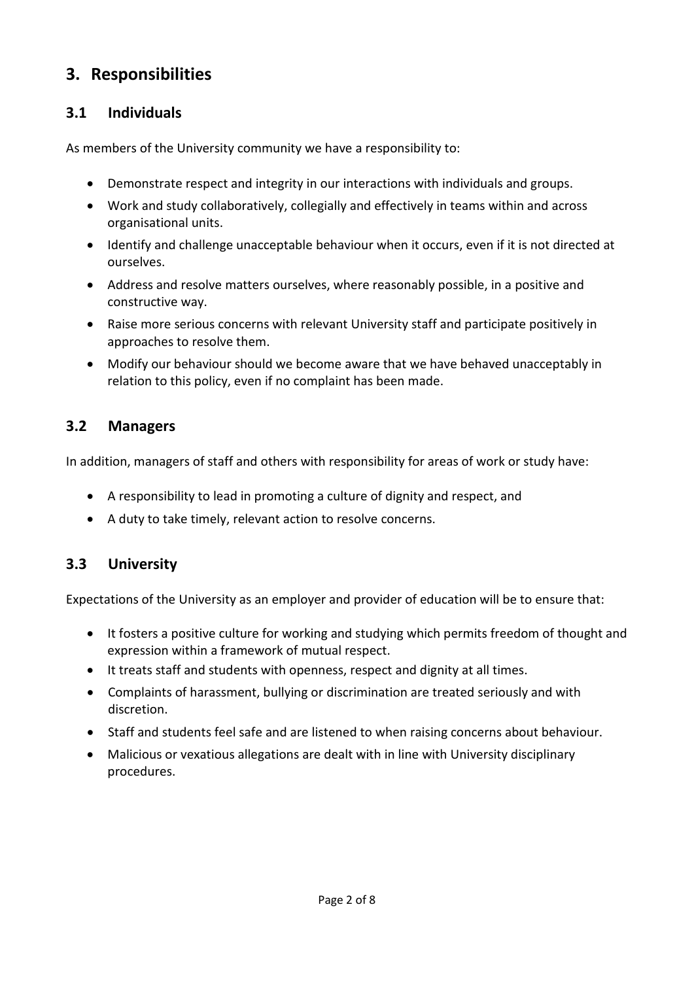## **3. Responsibilities**

#### **3.1 Individuals**

As members of the University community we have a responsibility to:

- Demonstrate respect and integrity in our interactions with individuals and groups.
- Work and study collaboratively, collegially and effectively in teams within and across organisational units.
- Identify and challenge unacceptable behaviour when it occurs, even if it is not directed at ourselves.
- Address and resolve matters ourselves, where reasonably possible, in a positive and constructive way.
- Raise more serious concerns with relevant University staff and participate positively in approaches to resolve them.
- Modify our behaviour should we become aware that we have behaved unacceptably in relation to this policy, even if no complaint has been made.

#### **3.2 Managers**

In addition, managers of staff and others with responsibility for areas of work or study have:

- A responsibility to lead in promoting a culture of dignity and respect, and
- A duty to take timely, relevant action to resolve concerns.

### **3.3 University**

Expectations of the University as an employer and provider of education will be to ensure that:

- It fosters a positive culture for working and studying which permits freedom of thought and expression within a framework of mutual respect.
- It treats staff and students with openness, respect and dignity at all times.
- Complaints of harassment, bullying or discrimination are treated seriously and with discretion.
- Staff and students feel safe and are listened to when raising concerns about behaviour.
- Malicious or vexatious allegations are dealt with in line with University disciplinary procedures.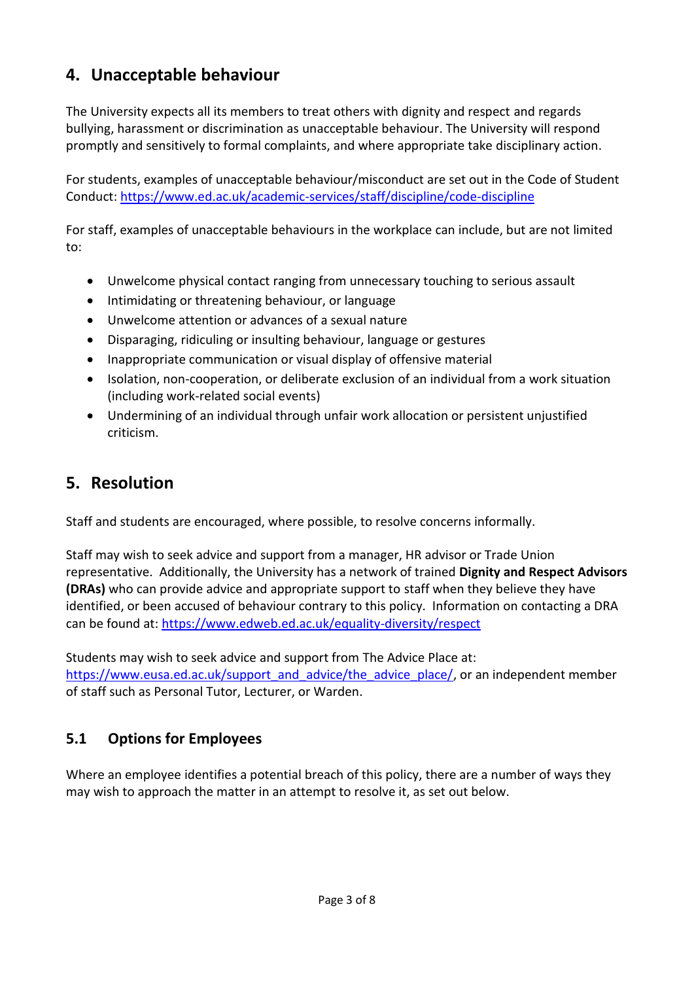## **4. Unacceptable behaviour**

The University expects all its members to treat others with dignity and respect and regards bullying, harassment or discrimination as unacceptable behaviour. The University will respond promptly and sensitively to formal complaints, and where appropriate take disciplinary action.

For students, examples of unacceptable behaviour/misconduct are set out in the Code of Student Conduct:<https://www.ed.ac.uk/academic-services/staff/discipline/code-discipline>

For staff, examples of unacceptable behaviours in the workplace can include, but are not limited to:

- Unwelcome physical contact ranging from unnecessary touching to serious assault
- Intimidating or threatening behaviour, or language
- Unwelcome attention or advances of a sexual nature
- Disparaging, ridiculing or insulting behaviour, language or gestures
- Inappropriate communication or visual display of offensive material
- Isolation, non-cooperation, or deliberate exclusion of an individual from a work situation (including work-related social events)
- Undermining of an individual through unfair work allocation or persistent unjustified criticism.

## **5. Resolution**

Staff and students are encouraged, where possible, to resolve concerns informally.

Staff may wish to seek advice and support from a manager, HR advisor or Trade Union representative. Additionally, the University has a network of trained **Dignity and Respect Advisors (DRAs)** who can provide advice and appropriate support to staff when they believe they have identified, or been accused of behaviour contrary to this policy. Information on contacting a DRA can be found at:<https://www.edweb.ed.ac.uk/equality-diversity/respect>

Students may wish to seek advice and support from The Advice Place at: https://www.eusa.ed.ac.uk/support\_and\_advice/the\_advice\_place/, or an independent member of staff such as Personal Tutor, Lecturer, or Warden.

### **5.1 Options for Employees**

Where an employee identifies a potential breach of this policy, there are a number of ways they may wish to approach the matter in an attempt to resolve it, as set out below.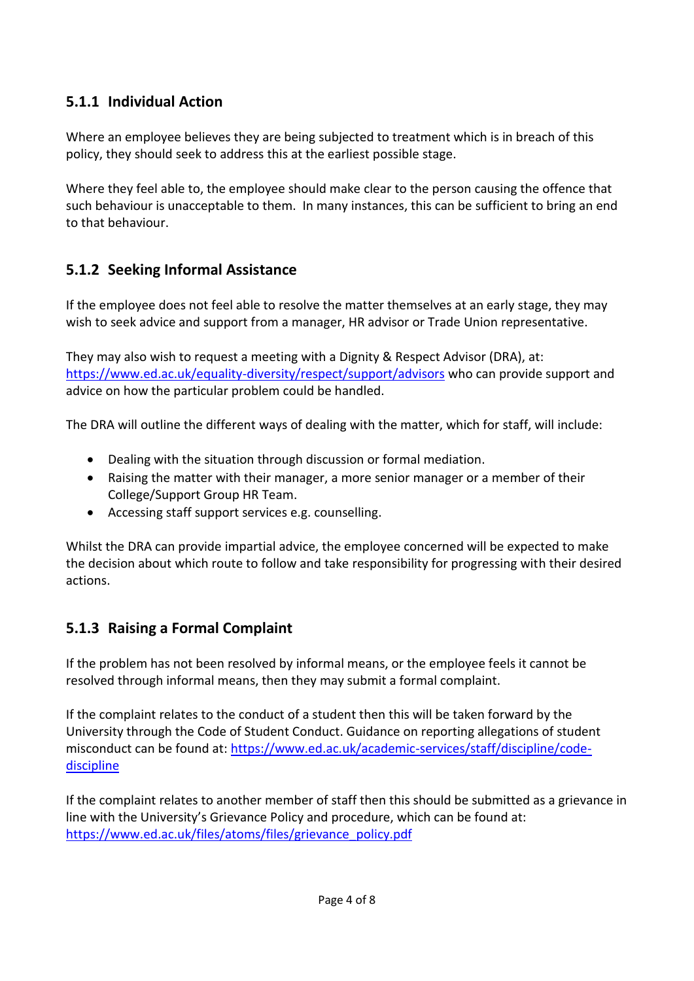### **5.1.1 Individual Action**

Where an employee believes they are being subjected to treatment which is in breach of this policy, they should seek to address this at the earliest possible stage.

Where they feel able to, the employee should make clear to the person causing the offence that such behaviour is unacceptable to them. In many instances, this can be sufficient to bring an end to that behaviour.

#### **5.1.2 Seeking Informal Assistance**

If the employee does not feel able to resolve the matter themselves at an early stage, they may wish to seek advice and support from a manager, HR advisor or Trade Union representative.

They may also wish to request a meeting with a Dignity & Respect Advisor (DRA), at: <https://www.ed.ac.uk/equality-diversity/respect/support/advisors> who can provide support and advice on how the particular problem could be handled.

The DRA will outline the different ways of dealing with the matter, which for staff, will include:

- Dealing with the situation through discussion or formal mediation.
- Raising the matter with their manager, a more senior manager or a member of their College/Support Group HR Team.
- Accessing staff support services e.g. counselling.

Whilst the DRA can provide impartial advice, the employee concerned will be expected to make the decision about which route to follow and take responsibility for progressing with their desired actions.

#### **5.1.3 Raising a Formal Complaint**

If the problem has not been resolved by informal means, or the employee feels it cannot be resolved through informal means, then they may submit a formal complaint.

If the complaint relates to the conduct of a student then this will be taken forward by the University through the Code of Student Conduct. Guidance on reporting allegations of student misconduct can be found at: [https://www.ed.ac.uk/academic-services/staff/discipline/code](https://www.ed.ac.uk/academic-services/staff/discipline/code-discipline)[discipline](https://www.ed.ac.uk/academic-services/staff/discipline/code-discipline)

If the complaint relates to another member of staff then this should be submitted as a grievance in line with the University's Grievance Policy and procedure, which can be found at: https://www.ed.ac.uk/files/atoms/files/grievance\_policy.pdf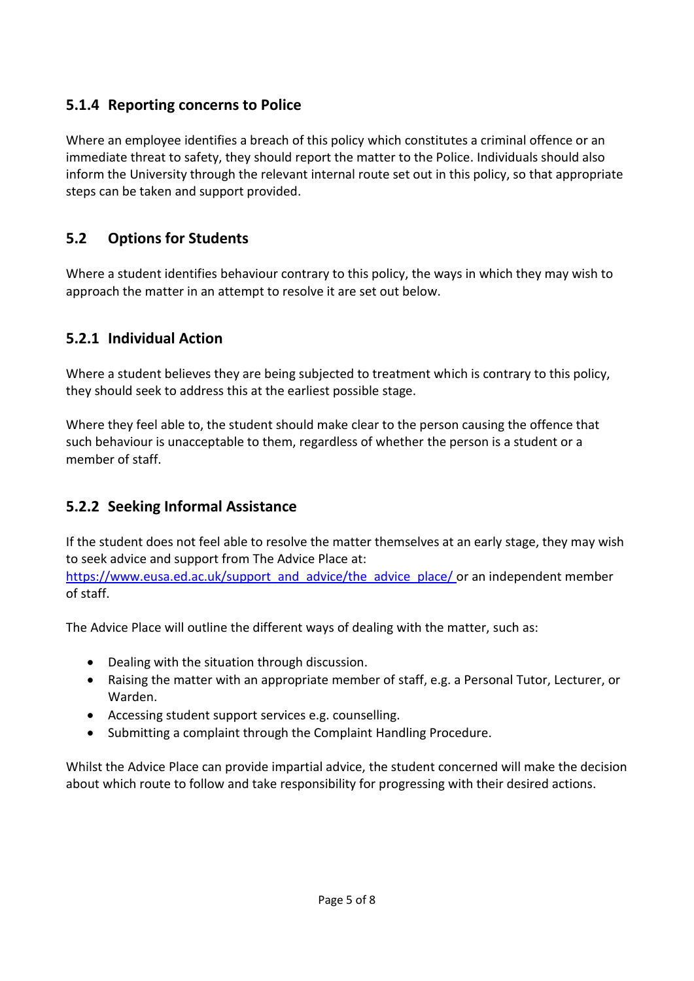#### **5.1.4 Reporting concerns to Police**

Where an employee identifies a breach of this policy which constitutes a criminal offence or an immediate threat to safety, they should report the matter to the Police. Individuals should also inform the University through the relevant internal route set out in this policy, so that appropriate steps can be taken and support provided.

#### **5.2 Options for Students**

Where a student identifies behaviour contrary to this policy, the ways in which they may wish to approach the matter in an attempt to resolve it are set out below.

#### **5.2.1 Individual Action**

Where a student believes they are being subjected to treatment which is contrary to this policy, they should seek to address this at the earliest possible stage.

Where they feel able to, the student should make clear to the person causing the offence that such behaviour is unacceptable to them, regardless of whether the person is a student or a member of staff.

#### **5.2.2 Seeking Informal Assistance**

If the student does not feel able to resolve the matter themselves at an early stage, they may wish to seek advice and support from The Advice Place at:

[https://www.eusa.ed.ac.uk/support\\_and\\_advice/the\\_advice\\_place/](https://www.eusa.ed.ac.uk/support_and_advice/the_advice_place/) or an independent member of staff.

The Advice Place will outline the different ways of dealing with the matter, such as:

- Dealing with the situation through discussion.
- Raising the matter with an appropriate member of staff, e.g. a Personal Tutor, Lecturer, or Warden.
- Accessing student support services e.g. counselling.
- Submitting a complaint through the Complaint Handling Procedure.

Whilst the Advice Place can provide impartial advice, the student concerned will make the decision about which route to follow and take responsibility for progressing with their desired actions.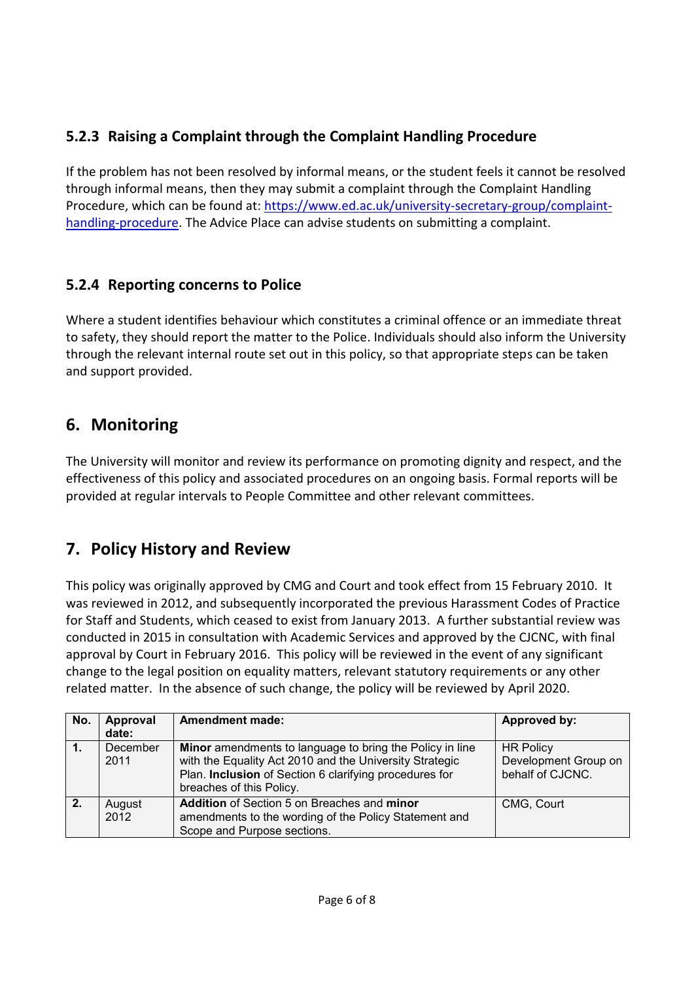## **5.2.3 Raising a Complaint through the Complaint Handling Procedure**

If the problem has not been resolved by informal means, or the student feels it cannot be resolved through informal means, then they may submit a complaint through the Complaint Handling Procedure, which can be found at: [https://www.ed.ac.uk/university-secretary-group/complaint](https://www.ed.ac.uk/university-secretary-group/complaint-handling-procedure)[handling-procedure.](https://www.ed.ac.uk/university-secretary-group/complaint-handling-procedure) The Advice Place can advise students on submitting a complaint.

#### **5.2.4 Reporting concerns to Police**

Where a student identifies behaviour which constitutes a criminal offence or an immediate threat to safety, they should report the matter to the Police. Individuals should also inform the University through the relevant internal route set out in this policy, so that appropriate steps can be taken and support provided.

## **6. Monitoring**

The University will monitor and review its performance on promoting dignity and respect, and the effectiveness of this policy and associated procedures on an ongoing basis. Formal reports will be provided at regular intervals to People Committee and other relevant committees.

## **7. Policy History and Review**

This policy was originally approved by CMG and Court and took effect from 15 February 2010. It was reviewed in 2012, and subsequently incorporated the previous Harassment Codes of Practice for Staff and Students, which ceased to exist from January 2013. A further substantial review was conducted in 2015 in consultation with Academic Services and approved by the CJCNC, with final approval by Court in February 2016. This policy will be reviewed in the event of any significant change to the legal position on equality matters, relevant statutory requirements or any other related matter. In the absence of such change, the policy will be reviewed by April 2020.

| No. | Approval | <b>Amendment made:</b>                                   | Approved by:         |
|-----|----------|----------------------------------------------------------|----------------------|
|     | date:    |                                                          |                      |
|     | December | Minor amendments to language to bring the Policy in line | <b>HR Policy</b>     |
|     | 2011     | with the Equality Act 2010 and the University Strategic  | Development Group on |
|     |          | Plan. Inclusion of Section 6 clarifying procedures for   | behalf of CJCNC.     |
|     |          | breaches of this Policy.                                 |                      |
| 2.  | August   | Addition of Section 5 on Breaches and minor              | CMG, Court           |
|     | 2012     | amendments to the wording of the Policy Statement and    |                      |
|     |          | Scope and Purpose sections.                              |                      |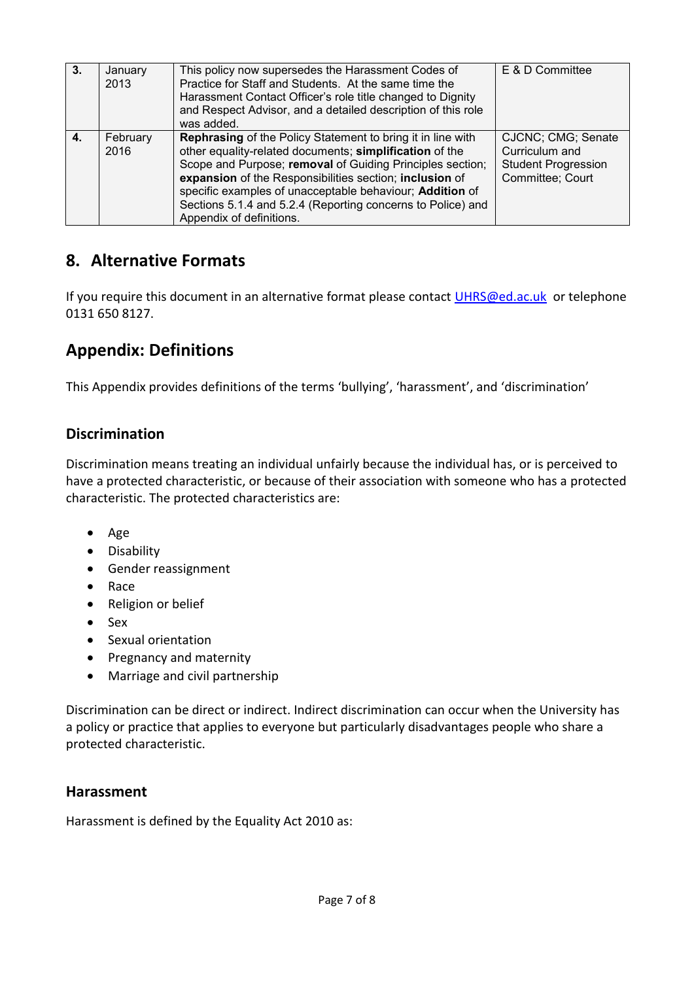| -3. | January<br>2013  | This policy now supersedes the Harassment Codes of<br>Practice for Staff and Students. At the same time the<br>Harassment Contact Officer's role title changed to Dignity<br>and Respect Advisor, and a detailed description of this role<br>was added.                                                                                                                                               | E & D Committee                                                                        |
|-----|------------------|-------------------------------------------------------------------------------------------------------------------------------------------------------------------------------------------------------------------------------------------------------------------------------------------------------------------------------------------------------------------------------------------------------|----------------------------------------------------------------------------------------|
| 4.  | February<br>2016 | Rephrasing of the Policy Statement to bring it in line with<br>other equality-related documents; simplification of the<br>Scope and Purpose; removal of Guiding Principles section;<br>expansion of the Responsibilities section; inclusion of<br>specific examples of unacceptable behaviour; Addition of<br>Sections 5.1.4 and 5.2.4 (Reporting concerns to Police) and<br>Appendix of definitions. | CJCNC; CMG; Senate<br>Curriculum and<br><b>Student Progression</b><br>Committee; Court |

## **8. Alternative Formats**

If you require this document in an alternative format please contact [UHRS@ed.ac.uk](mailto:UHRS@ed.ac.uk) or telephone 0131 650 8127.

## **Appendix: Definitions**

This Appendix provides definitions of the terms 'bullying', 'harassment', and 'discrimination'

#### **Discrimination**

Discrimination means treating an individual unfairly because the individual has, or is perceived to have a protected characteristic, or because of their association with someone who has a protected characteristic. The protected characteristics are:

- Age
- Disability
- Gender reassignment
- Race
- Religion or belief
- $S_{\text{PX}}$
- Sexual orientation
- Pregnancy and maternity
- Marriage and civil partnership

Discrimination can be direct or indirect. Indirect discrimination can occur when the University has a policy or practice that applies to everyone but particularly disadvantages people who share a protected characteristic.

#### **Harassment**

Harassment is defined by the Equality Act 2010 as: